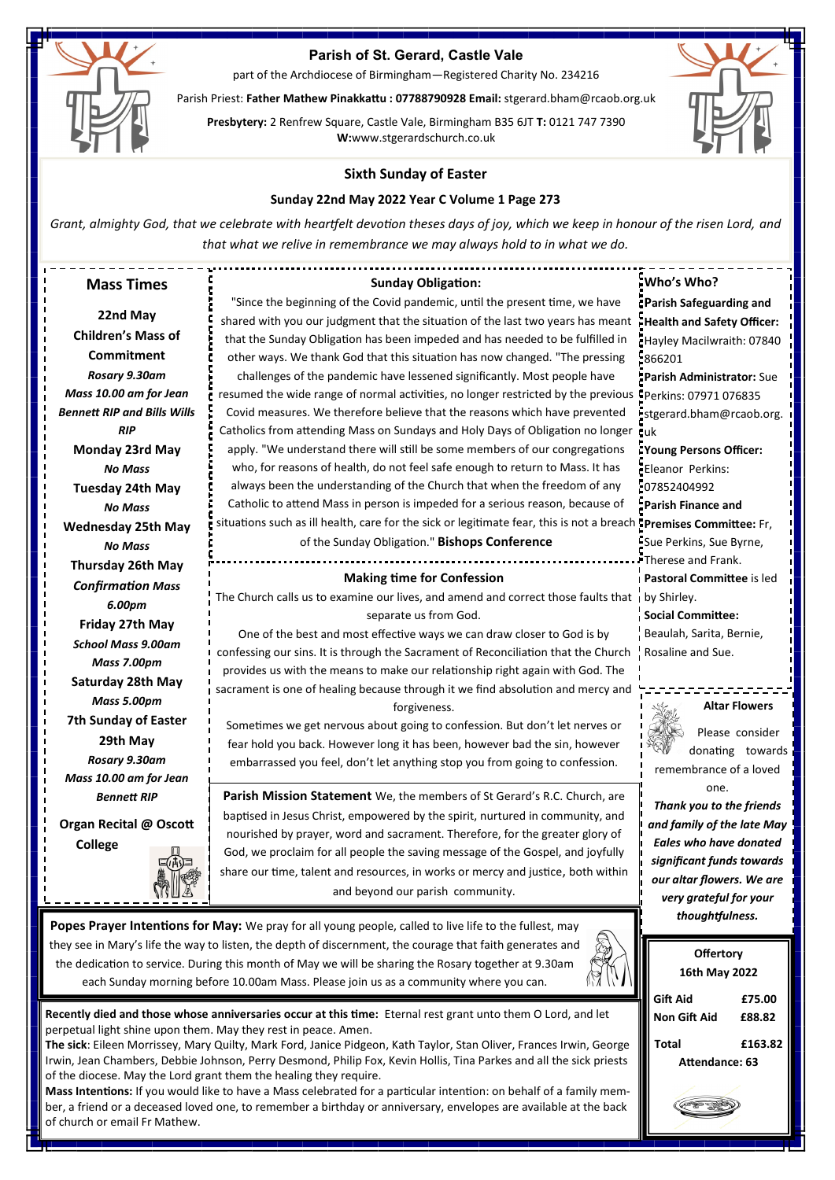

# **Parish of St. Gerard, Castle Vale**

part of the Archdiocese of Birmingham—Registered Charity No. 234216

Parish Priest: **Father Mathew Pinakkattu : 07788790928 Email:** stgerard.bham@rcaob.org.uk

**Presbytery:** 2 Renfrew Square, Castle Vale, Birmingham B35 6JT **T:** 0121 747 7390 **W:**www.stgerardschurch.co.uk



**Non Gift Aid £88.82 Total £163.82 Attendance: 63**

## **Sixth Sunday of Easter**

### **Sunday 22nd May 2022 Year C Volume 1 Page 273**

*Grant, almighty God, that we celebrate with heartfelt devotion theses days of joy, which we keep in honour of the risen Lord, and that what we relive in remembrance we may always hold to in what we do.*

| <b>Mass Times</b>                                                                                    | <b>Sunday Obligation:</b>                                                                                                                                 | Who's Who?                    |
|------------------------------------------------------------------------------------------------------|-----------------------------------------------------------------------------------------------------------------------------------------------------------|-------------------------------|
|                                                                                                      | "Since the beginning of the Covid pandemic, until the present time, we have                                                                               | Parish Safeguarding and       |
| 22nd May                                                                                             | shared with you our judgment that the situation of the last two years has meant                                                                           | Health and Safety Officer:    |
| <b>Children's Mass of</b>                                                                            | that the Sunday Obligation has been impeded and has needed to be fulfilled in                                                                             | Hayley Macilwraith: 07840     |
| Commitment                                                                                           | other ways. We thank God that this situation has now changed. "The pressing                                                                               | $-866201$                     |
| Rosary 9.30am                                                                                        | challenges of the pandemic have lessened significantly. Most people have                                                                                  | Parish Administrator: Sue     |
| Mass 10.00 am for Jean                                                                               | resumed the wide range of normal activities, no longer restricted by the previous CPerkins: 07971 076835                                                  |                               |
| <b>Bennett RIP and Bills Wills</b>                                                                   | Covid measures. We therefore believe that the reasons which have prevented                                                                                | stgerard.bham@rcaob.org.      |
| <b>RIP</b>                                                                                           | Catholics from attending Mass on Sundays and Holy Days of Obligation no longer cuk                                                                        |                               |
| Monday 23rd May                                                                                      | apply. "We understand there will still be some members of our congregations                                                                               | Young Persons Officer:        |
| <b>No Mass</b>                                                                                       | who, for reasons of health, do not feel safe enough to return to Mass. It has                                                                             | - Eleanor Perkins:            |
| Tuesday 24th May                                                                                     | always been the understanding of the Church that when the freedom of any                                                                                  | 107852404992                  |
| <b>No Mass</b>                                                                                       | Catholic to attend Mass in person is impeded for a serious reason, because of                                                                             | Parish Finance and            |
| <b>Wednesday 25th May</b>                                                                            | situations such as ill health, care for the sick or legitimate fear, this is not a breach <b>: Premises Committee:</b> Fr,                                |                               |
| <b>No Mass</b>                                                                                       | of the Sunday Obligation." Bishops Conference                                                                                                             | Sue Perkins, Sue Byrne,       |
| Thursday 26th May                                                                                    |                                                                                                                                                           | FTherese and Frank.           |
| <b>Confirmation Mass</b>                                                                             | <b>Making time for Confession</b>                                                                                                                         | i Pastoral Committee is led   |
| 6.00pm                                                                                               | The Church calls us to examine our lives, and amend and correct those faults that i by Shirley.                                                           |                               |
| Friday 27th May                                                                                      | separate us from God.                                                                                                                                     | Social Committee:             |
| <b>School Mass 9.00am</b>                                                                            | One of the best and most effective ways we can draw closer to God is by                                                                                   | Beaulah, Sarita, Bernie,      |
| Mass 7.00pm                                                                                          | confessing our sins. It is through the Sacrament of Reconciliation that the Church                                                                        | Rosaline and Sue.             |
| Saturday 28th May                                                                                    | provides us with the means to make our relationship right again with God. The                                                                             |                               |
| Mass 5.00pm                                                                                          | sacrament is one of healing because through it we find absolution and mercy and                                                                           |                               |
| <b>7th Sunday of Easter</b>                                                                          | forgiveness.                                                                                                                                              | <b>Altar Flowers</b>          |
| 29th May                                                                                             | Sometimes we get nervous about going to confession. But don't let nerves or<br>fear hold you back. However long it has been, however bad the sin, however | Please consider               |
| Rosary 9.30am                                                                                        | embarrassed you feel, don't let anything stop you from going to confession.                                                                               | donating towards              |
| Mass 10.00 am for Jean                                                                               |                                                                                                                                                           | remembrance of a loved        |
| <b>Bennett RIP</b>                                                                                   | <b>Parish Mission Statement</b> We, the members of St Gerard's R.C. Church, are                                                                           | one.                          |
|                                                                                                      | baptised in Jesus Christ, empowered by the spirit, nurtured in community, and                                                                             | Thank you to the friends      |
| Organ Recital @ Oscott                                                                               | nourished by prayer, word and sacrament. Therefore, for the greater glory of                                                                              | and family of the late May    |
| <b>College</b>                                                                                       | God, we proclaim for all people the saving message of the Gospel, and joyfully                                                                            | <b>Eales who have donated</b> |
|                                                                                                      | share our time, talent and resources, in works or mercy and justice, both within                                                                          | significant funds towards     |
|                                                                                                      | and beyond our parish community.                                                                                                                          | our altar flowers. We are     |
| յր ш св                                                                                              |                                                                                                                                                           | very grateful for your        |
|                                                                                                      | Popes Prayer Intentions for May: We pray for all young people, called to live life to the fullest, may                                                    | thoughtfulness.               |
|                                                                                                      | they see in Mary's life the way to listen, the depth of discernment, the courage that faith generates and                                                 |                               |
| the dedication to service. During this month of May we will be sharing the Rosary together at 9.30am |                                                                                                                                                           | <b>Offertory</b>              |
| each Sunday morning before 10.00am Mass. Please join us as a community where you can.                | 16th May 2022                                                                                                                                             |                               |
|                                                                                                      |                                                                                                                                                           | <b>Gift Aid</b><br>£75.00     |

**Recently died and those whose anniversaries occur at this time:** Eternal rest grant unto them O Lord, and let perpetual light shine upon them. May they rest in peace. Amen.

**The sick**: Eileen Morrissey, Mary Quilty, Mark Ford, Janice Pidgeon, Kath Taylor, Stan Oliver, Frances Irwin, George Irwin, Jean Chambers, Debbie Johnson, Perry Desmond, Philip Fox, Kevin Hollis, Tina Parkes and all the sick priests of the diocese. May the Lord grant them the healing they require.

**Mass Intentions:** If you would like to have a Mass celebrated for a particular intention: on behalf of a family member, a friend or a deceased loved one, to remember a birthday or anniversary, envelopes are available at the back of church or email Fr Mathew.